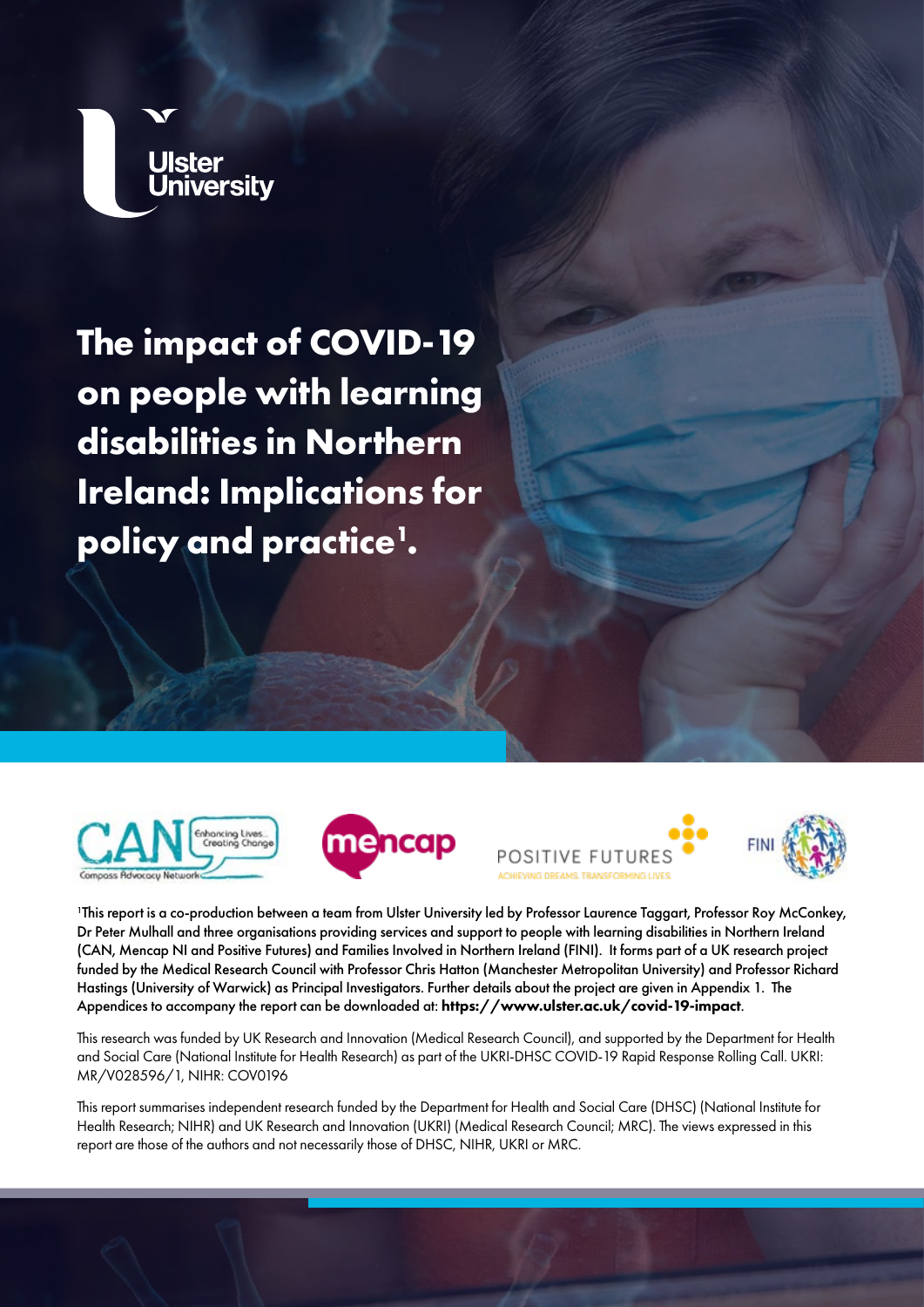

**The impact of COVID-19 on people with learning disabilities in Northern Ireland: Implications for policy and practice1 .** 









1 This report is a co-production between a team from Ulster University led by Professor Laurence Taggart, Professor Roy McConkey, Dr Peter Mulhall and three organisations providing services and support to people with learning disabilities in Northern Ireland (CAN, Mencap NI and Positive Futures) and Families Involved in Northern Ireland (FINI). It forms part of a UK research project funded by the Medical Research Council with Professor Chris Hatton (Manchester Metropolitan University) and Professor Richard Hastings (University of Warwick) as Principal Investigators. Further details about the project are given in Appendix 1. The Appendices to accompany the report can be downloaded at: <https://www.ulster.ac.uk/covid-19-impact>.

This research was funded by UK Research and Innovation (Medical Research Council), and supported by the Department for Health and Social Care (National Institute for Health Research) as part of the UKRI-DHSC COVID-19 Rapid Response Rolling Call. UKRI: MR/V028596/1, NIHR: COV0196

This report summarises independent research funded by the Department for Health and Social Care (DHSC) (National Institute for Health Research; NIHR) and UK Research and Innovation (UKRI) (Medical Research Council; MRC). The views expressed in this report are those of the authors and not necessarily those of DHSC, NIHR, UKRI or MRC.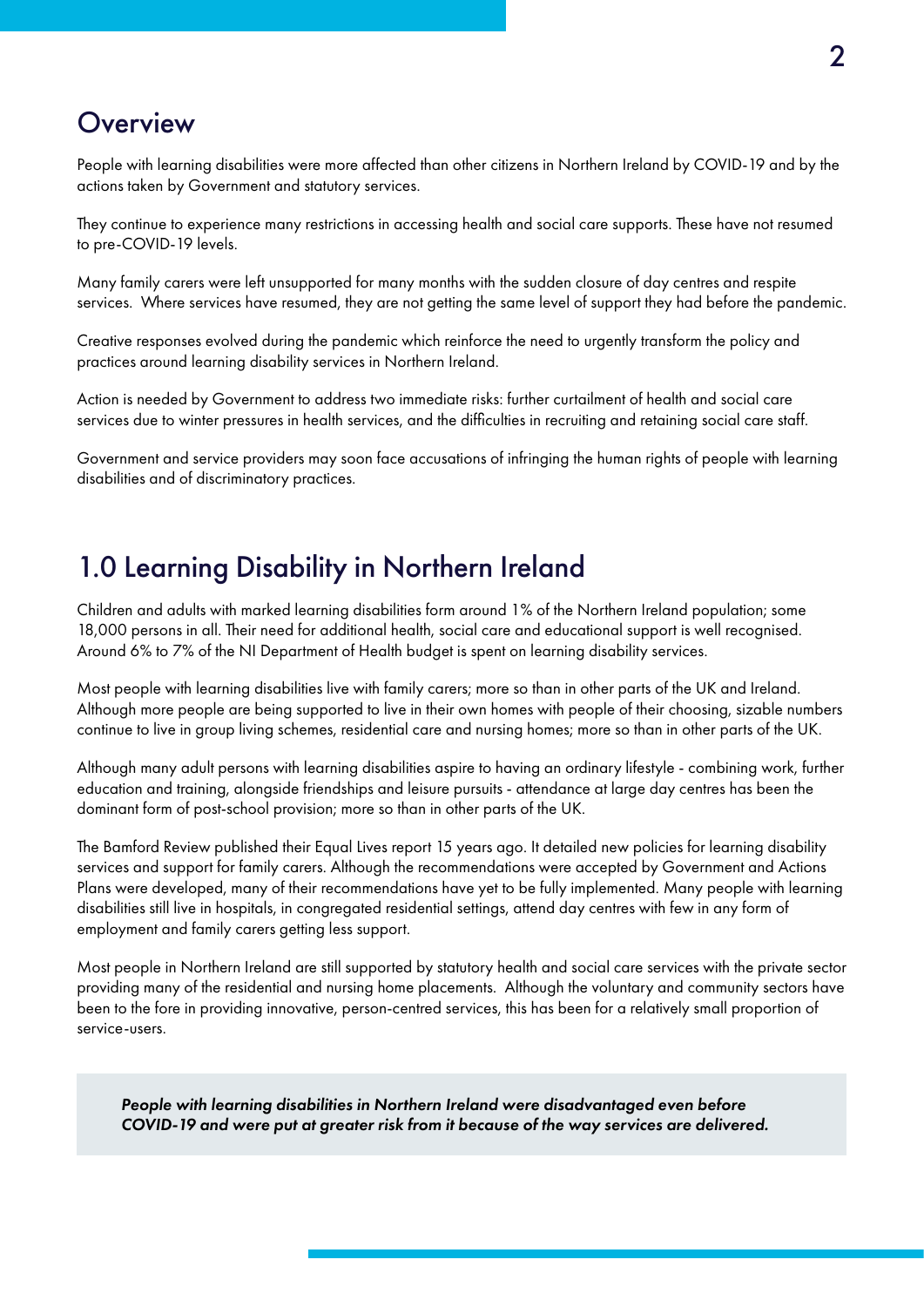#### **Overview**

People with learning disabilities were more affected than other citizens in Northern Ireland by COVID-19 and by the actions taken by Government and statutory services.

They continue to experience many restrictions in accessing health and social care supports. These have not resumed to pre-COVID-19 levels.

Many family carers were left unsupported for many months with the sudden closure of day centres and respite services. Where services have resumed, they are not getting the same level of support they had before the pandemic.

Creative responses evolved during the pandemic which reinforce the need to urgently transform the policy and practices around learning disability services in Northern Ireland.

Action is needed by Government to address two immediate risks: further curtailment of health and social care services due to winter pressures in health services, and the difficulties in recruiting and retaining social care staff.

Government and service providers may soon face accusations of infringing the human rights of people with learning disabilities and of discriminatory practices.

### 1.0 Learning Disability in Northern Ireland

Children and adults with marked learning disabilities form around 1% of the Northern Ireland population; some 18,000 persons in all. Their need for additional health, social care and educational support is well recognised. Around 6% to 7% of the NI Department of Health budget is spent on learning disability services.

Most people with learning disabilities live with family carers; more so than in other parts of the UK and Ireland. Although more people are being supported to live in their own homes with people of their choosing, sizable numbers continue to live in group living schemes, residential care and nursing homes; more so than in other parts of the UK.

Although many adult persons with learning disabilities aspire to having an ordinary lifestyle - combining work, further education and training, alongside friendships and leisure pursuits - attendance at large day centres has been the dominant form of post-school provision; more so than in other parts of the UK.

The Bamford Review published their Equal Lives report 15 years ago. It detailed new policies for learning disability services and support for family carers. Although the recommendations were accepted by Government and Actions Plans were developed, many of their recommendations have yet to be fully implemented. Many people with learning disabilities still live in hospitals, in congregated residential settings, attend day centres with few in any form of employment and family carers getting less support.

Most people in Northern Ireland are still supported by statutory health and social care services with the private sector providing many of the residential and nursing home placements. Although the voluntary and community sectors have been to the fore in providing innovative, person-centred services, this has been for a relatively small proportion of service-users.

*People with learning disabilities in Northern Ireland were disadvantaged even before COVID-19 and were put at greater risk from it because of the way services are delivered.*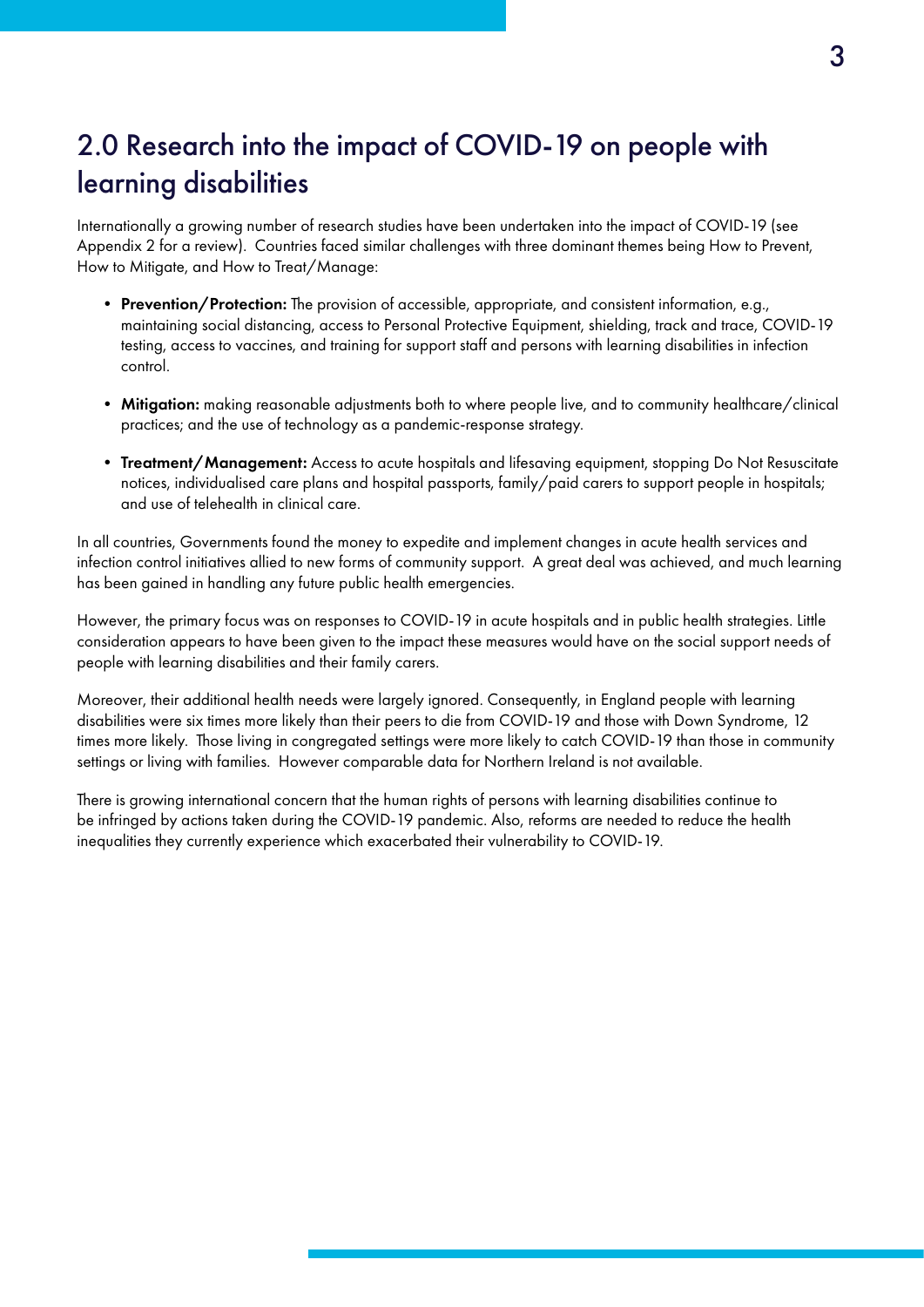## 2.0 Research into the impact of COVID-19 on people with learning disabilities

Internationally a growing number of research studies have been undertaken into the impact of COVID-19 (see Appendix 2 for a review). Countries faced similar challenges with three dominant themes being How to Prevent, How to Mitigate, and How to Treat/Manage:

- Prevention/Protection: The provision of accessible, appropriate, and consistent information, e.g., maintaining social distancing, access to Personal Protective Equipment, shielding, track and trace, COVID-19 testing, access to vaccines, and training for support staff and persons with learning disabilities in infection control.
- Mitigation: making reasonable adjustments both to where people live, and to community healthcare/clinical practices; and the use of technology as a pandemic-response strategy.
- Treatment/Management: Access to acute hospitals and lifesaving equipment, stopping Do Not Resuscitate notices, individualised care plans and hospital passports, family/paid carers to support people in hospitals; and use of telehealth in clinical care.

In all countries, Governments found the money to expedite and implement changes in acute health services and infection control initiatives allied to new forms of community support. A great deal was achieved, and much learning has been gained in handling any future public health emergencies.

However, the primary focus was on responses to COVID-19 in acute hospitals and in public health strategies. Little consideration appears to have been given to the impact these measures would have on the social support needs of people with learning disabilities and their family carers.

Moreover, their additional health needs were largely ignored. Consequently, in England people with learning disabilities were six times more likely than their peers to die from COVID-19 and those with Down Syndrome, 12 times more likely. Those living in congregated settings were more likely to catch COVID-19 than those in community settings or living with families. However comparable data for Northern Ireland is not available.

There is growing international concern that the human rights of persons with learning disabilities continue to be infringed by actions taken during the COVID-19 pandemic. Also, reforms are needed to reduce the health inequalities they currently experience which exacerbated their vulnerability to COVID-19.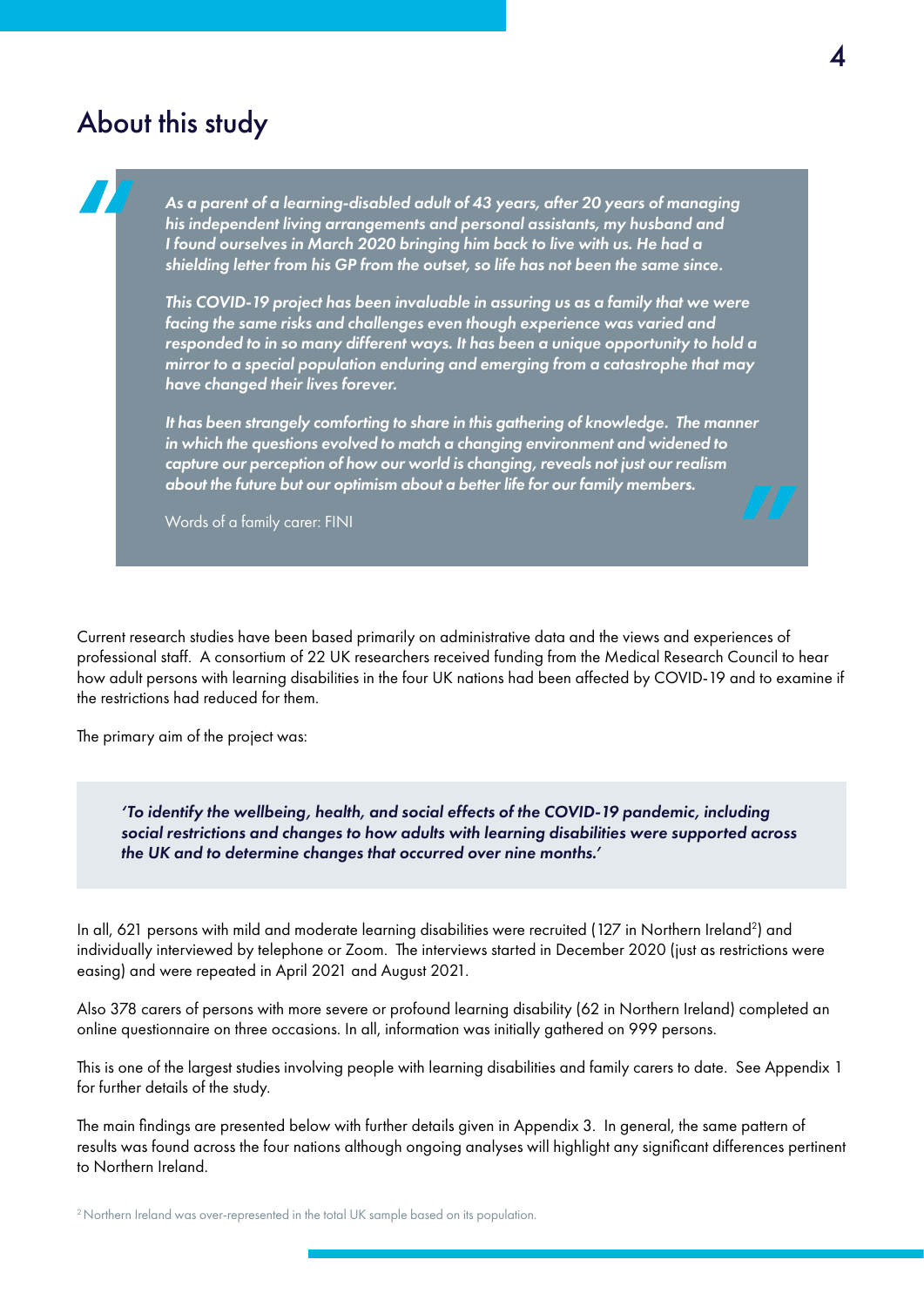### About this study

*As a parent of a learning-disabled adult of 43 years, after 20 years of managing his independent living arrangements and personal assistants, my husband and I found ourselves in March 2020 bringing him back to live with us. He had a shielding letter from his GP from the outset, so life has not been the same since.* 

*This COVID-19 project has been invaluable in assuring us as a family that we were facing the same risks and challenges even though experience was varied and responded to in so many different ways. It has been a unique opportunity to hold a mirror to a special population enduring and emerging from a catastrophe that may have changed their lives forever.* 

*It has been strangely comforting to share in this gathering of knowledge. The manner in which the questions evolved to match a changing environment and widened to capture our perception of how our world is changing, reveals not just our realism about the future but our optimism about a better life for our family members.* 

Words of a family carer: FINI

Current research studies have been based primarily on administrative data and the views and experiences of professional staff. A consortium of 22 UK researchers received funding from the Medical Research Council to hear how adult persons with learning disabilities in the four UK nations had been affected by COVID-19 and to examine if the restrictions had reduced for them.

The primary aim of the project was:

*'To identify the wellbeing, health, and social effects of the COVID-19 pandemic, including social restrictions and changes to how adults with learning disabilities were supported across the UK and to determine changes that occurred over nine months.'* 

In all, 621 persons with mild and moderate learning disabilities were recruited (127 in Northern Ireland<sup>2</sup>) and individually interviewed by telephone or Zoom. The interviews started in December 2020 (just as restrictions were easing) and were repeated in April 2021 and August 2021.

Also 378 carers of persons with more severe or profound learning disability (62 in Northern Ireland) completed an online questionnaire on three occasions. In all, information was initially gathered on 999 persons.

This is one of the largest studies involving people with learning disabilities and family carers to date. See Appendix 1 for further details of the study.

The main fndings are presented below with further details given in Appendix 3. In general, the same pattern of results was found across the four nations although ongoing analyses will highlight any signifcant differences pertinent to Northern Ireland.

<sup>2</sup> Northern Ireland was over-represented in the total UK sample based on its population.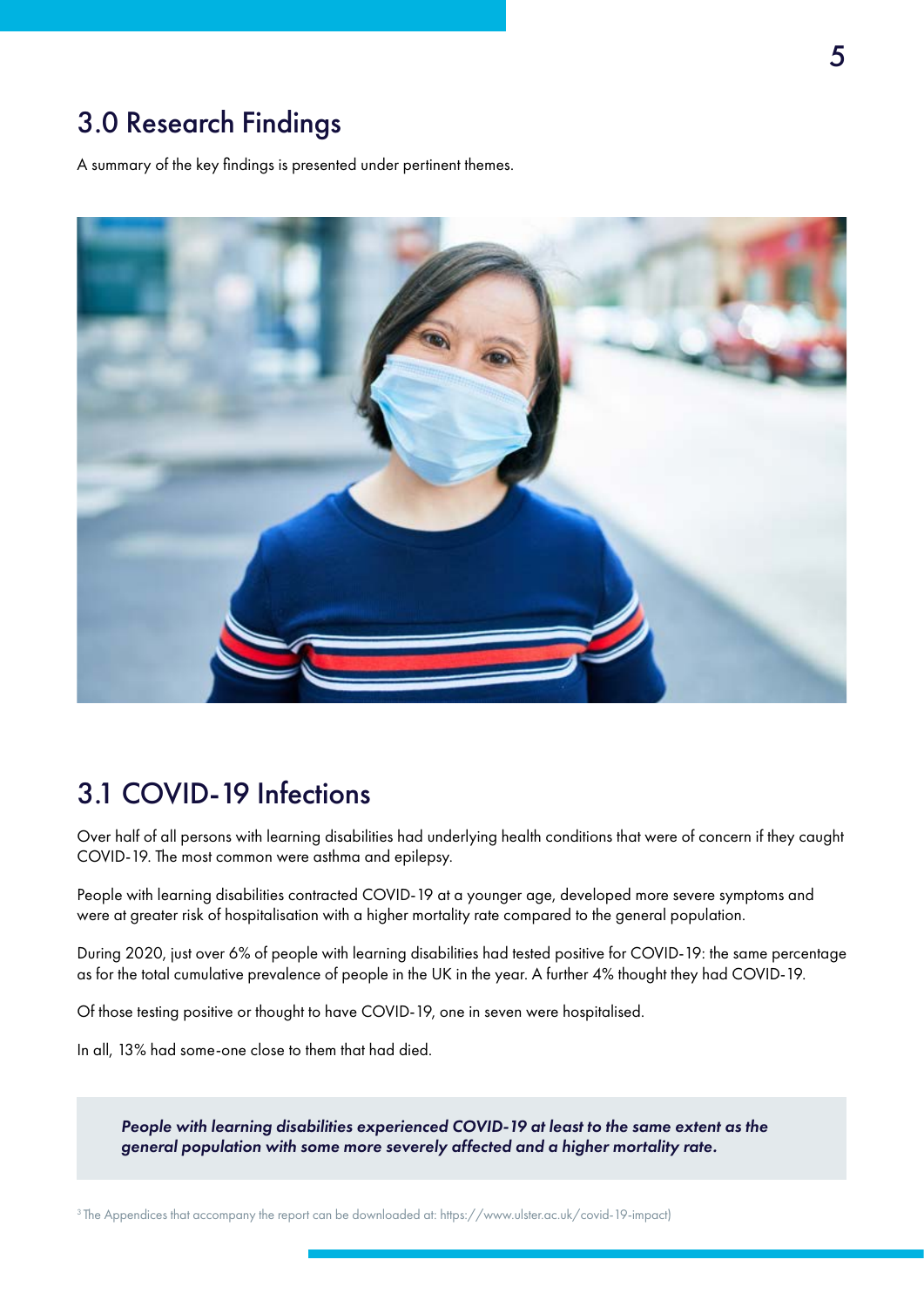### 3.0 Research Findings

A summary of the key fndings is presented under pertinent themes.



### 3.1 COVID-19 Infections

Over half of all persons with learning disabilities had underlying health conditions that were of concern if they caught COVID-19. The most common were asthma and epilepsy.

People with learning disabilities contracted COVID-19 at a younger age, developed more severe symptoms and were at greater risk of hospitalisation with a higher mortality rate compared to the general population.

During 2020, just over 6% of people with learning disabilities had tested positive for COVID-19: the same percentage as for the total cumulative prevalence of people in the UK in the year. A further 4% thought they had COVID-19.

Of those testing positive or thought to have COVID-19, one in seven were hospitalised.

In all, 13% had some-one close to them that had died.

*People with learning disabilities experienced COVID-19 at least to the same extent as the general population with some more severely affected and a higher mortality rate.* 

3 The Appendices that accompany the report can be downloaded at: <https://www.ulster.ac.uk/covid-19-impact>)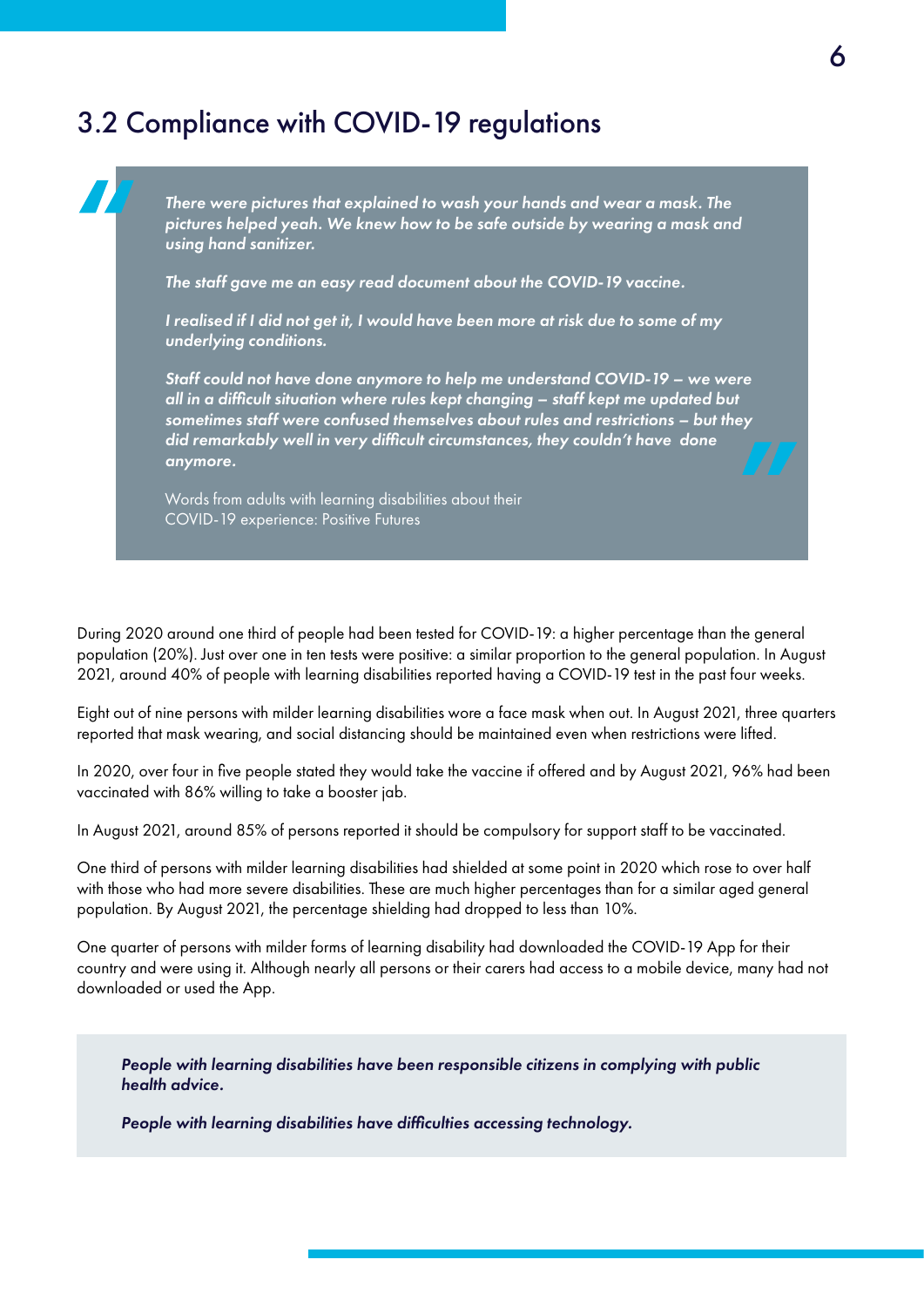### 3.2 Compliance with COVID-19 regulations

*There were pictures that explained to wash your hands and wear a mask. The pictures helped yeah. We knew how to be safe outside by wearing a mask and using hand sanitizer.* 

*The staff gave me an easy read document about the COVID-19 vaccine.* 

*I realised if I did not get it, I would have been more at risk due to some of my underlying conditions.* 

*Staff could not have done anymore to help me understand COVID-19 – we were all in a diffcult situation where rules kept changing – staff kept me updated but sometimes staff were confused themselves about rules and restrictions – but they did remarkably well in very diffcult circumstances, they couldn't have done anymore.* 

Words from adults with learning disabilities about their COVID-19 experience: Positive Futures

During 2020 around one third of people had been tested for COVID-19: a higher percentage than the general population (20%). Just over one in ten tests were positive: a similar proportion to the general population. In August 2021, around 40% of people with learning disabilities reported having a COVID-19 test in the past four weeks.

Eight out of nine persons with milder learning disabilities wore a face mask when out. In August 2021, three quarters reported that mask wearing, and social distancing should be maintained even when restrictions were lifted.

In 2020, over four in fve people stated they would take the vaccine if offered and by August 2021, 96% had been vaccinated with 86% willing to take a booster jab.

In August 2021, around 85% of persons reported it should be compulsory for support staff to be vaccinated.

One third of persons with milder learning disabilities had shielded at some point in 2020 which rose to over half with those who had more severe disabilities. These are much higher percentages than for a similar aged general population. By August 2021, the percentage shielding had dropped to less than 10%.

One quarter of persons with milder forms of learning disability had downloaded the COVID-19 App for their country and were using it. Although nearly all persons or their carers had access to a mobile device, many had not downloaded or used the App.

*People with learning disabilities have been responsible citizens in complying with public health advice.* 

*People with learning disabilities have diffculties accessing technology.*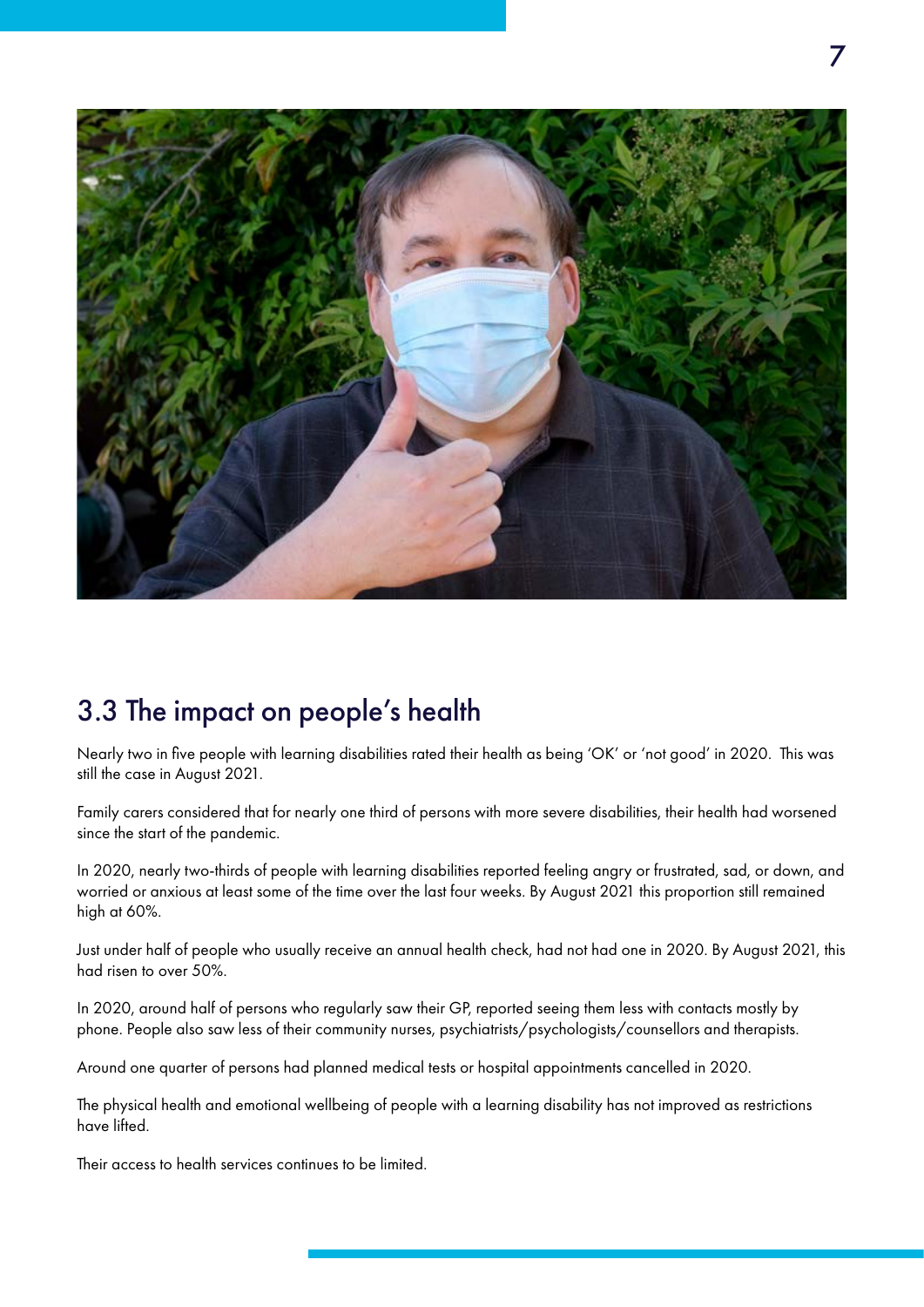

## 3.3 The impact on people's health

Nearly two in fve people with learning disabilities rated their health as being 'OK' or 'not good' in 2020. This was still the case in August 2021.

Family carers considered that for nearly one third of persons with more severe disabilities, their health had worsened since the start of the pandemic.

In 2020, nearly two-thirds of people with learning disabilities reported feeling angry or frustrated, sad, or down, and worried or anxious at least some of the time over the last four weeks. By August 2021 this proportion still remained high at 60%.

Just under half of people who usually receive an annual health check, had not had one in 2020. By August 2021, this had risen to over 50%.

In 2020, around half of persons who regularly saw their GP, reported seeing them less with contacts mostly by phone. People also saw less of their community nurses, psychiatrists/psychologists/counsellors and therapists.

Around one quarter of persons had planned medical tests or hospital appointments cancelled in 2020.

The physical health and emotional wellbeing of people with a learning disability has not improved as restrictions have lifted.

Their access to health services continues to be limited.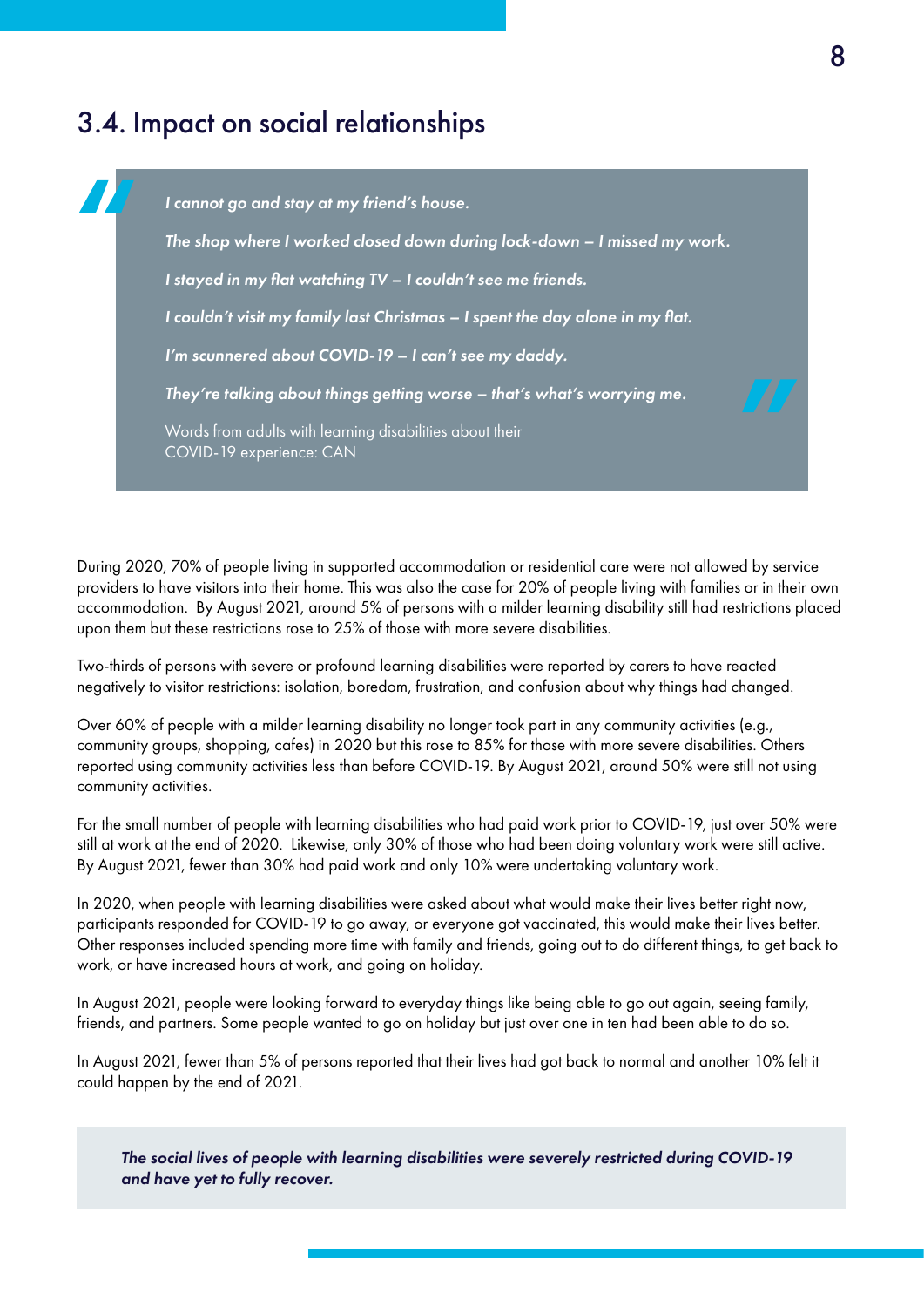### 3.4. Impact on social relationships



During 2020, 70% of people living in supported accommodation or residential care were not allowed by service providers to have visitors into their home. This was also the case for 20% of people living with families or in their own accommodation. By August 2021, around 5% of persons with a milder learning disability still had restrictions placed upon them but these restrictions rose to 25% of those with more severe disabilities.

Two-thirds of persons with severe or profound learning disabilities were reported by carers to have reacted negatively to visitor restrictions: isolation, boredom, frustration, and confusion about why things had changed.

Over 60% of people with a milder learning disability no longer took part in any community activities (e.g., community groups, shopping, cafes) in 2020 but this rose to 85% for those with more severe disabilities. Others reported using community activities less than before COVID-19. By August 2021, around 50% were still not using community activities.

For the small number of people with learning disabilities who had paid work prior to COVID-19, just over 50% were still at work at the end of 2020. Likewise, only 30% of those who had been doing voluntary work were still active. By August 2021, fewer than 30% had paid work and only 10% were undertaking voluntary work.

In 2020, when people with learning disabilities were asked about what would make their lives better right now, participants responded for COVID-19 to go away, or everyone got vaccinated, this would make their lives better. Other responses included spending more time with family and friends, going out to do different things, to get back to work, or have increased hours at work, and going on holiday.

In August 2021, people were looking forward to everyday things like being able to go out again, seeing family, friends, and partners. Some people wanted to go on holiday but just over one in ten had been able to do so.

In August 2021, fewer than 5% of persons reported that their lives had got back to normal and another 10% felt it could happen by the end of 2021.

*The social lives of people with learning disabilities were severely restricted during COVID-19 and have yet to fully recover.*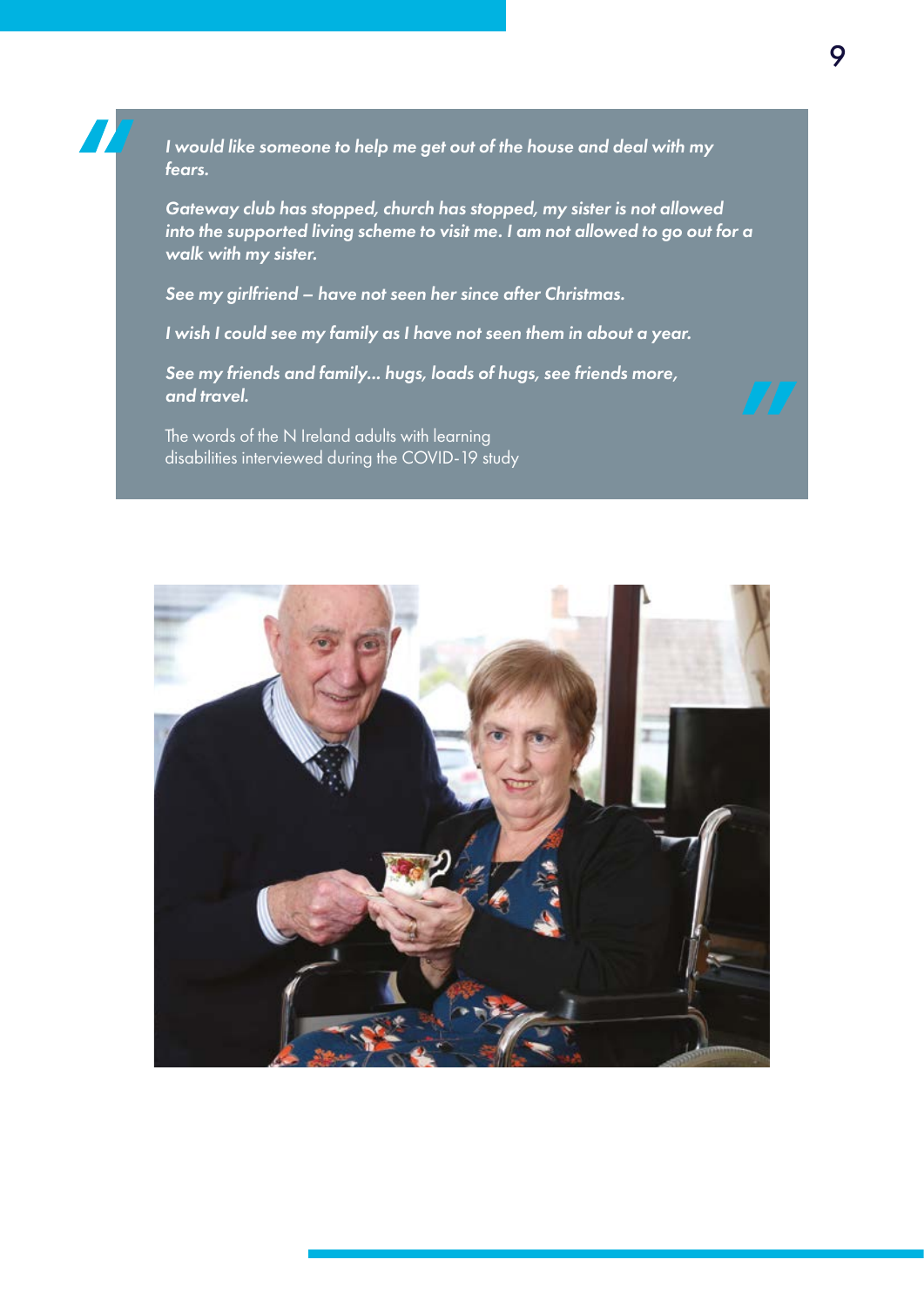*I would like someone to help me get out of the house and deal with my fears.* 

*Gateway club has stopped, church has stopped, my sister is not allowed into the supported living scheme to visit me. I am not allowed to go out for a walk with my sister.* 

*See my girlfriend – have not seen her since after Christmas.* 

*I wish I could see my family as I have not seen them in about a year.* 

 *See my friends and family... hugs, loads of hugs, see friends more, and travel.* 

The words of the N Ireland adults with learning disabilities interviewed during the COVID-19 study

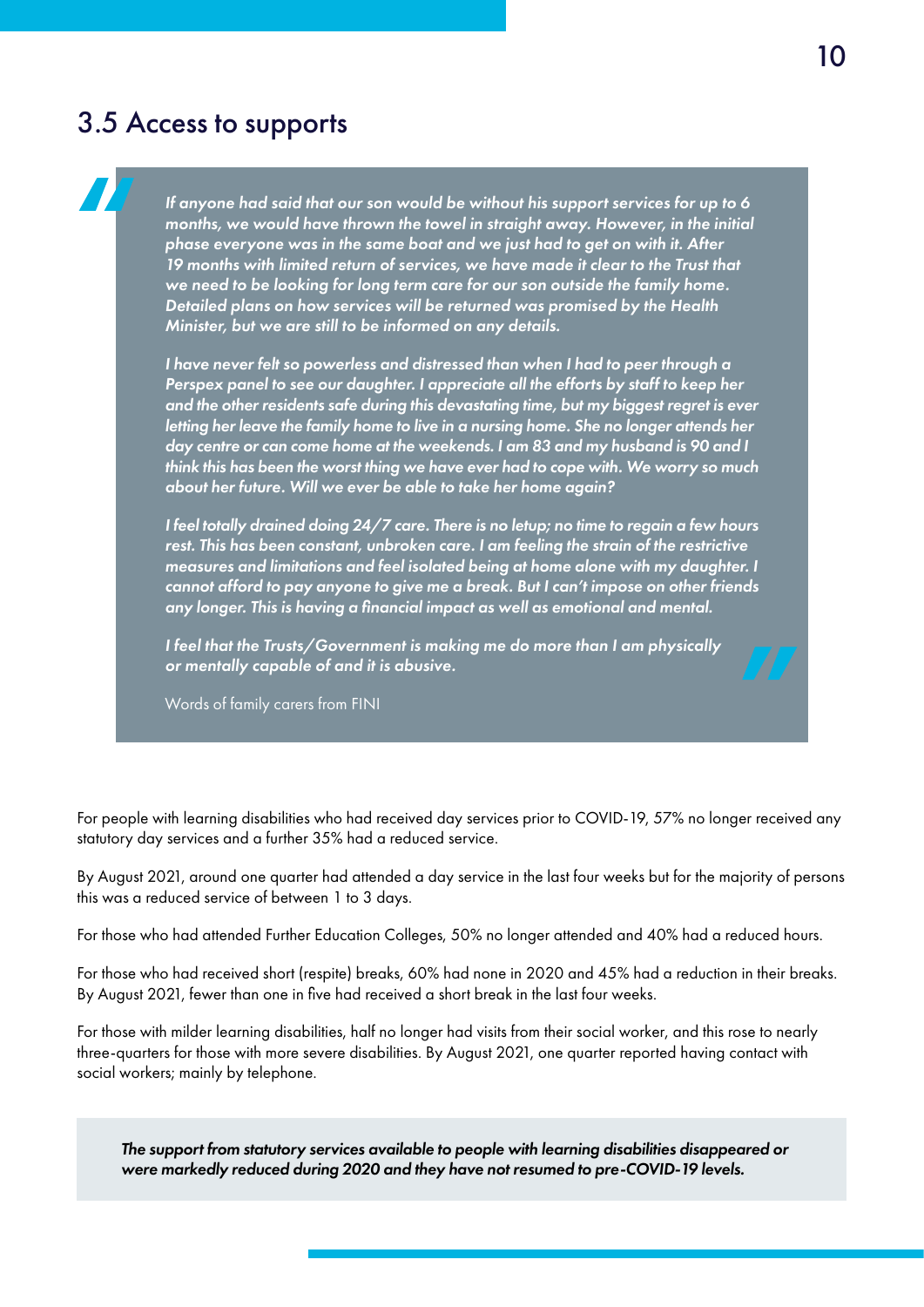#### 3.5 Access to supports

*If anyone had said that our son would be without his support services for up to 6 months, we would have thrown the towel in straight away. However, in the initial phase everyone was in the same boat and we just had to get on with it. After 19 months with limited return of services, we have made it clear to the Trust that we need to be looking for long term care for our son outside the family home. Detailed plans on how services will be returned was promised by the Health Minister, but we are still to be informed on any details.* 

*I have never felt so powerless and distressed than when I had to peer through a Perspex panel to see our daughter. I appreciate all the efforts by staff to keep her and the other residents safe during this devastating time, but my biggest regret is ever letting her leave the family home to live in a nursing home. She no longer attends her day centre or can come home at the weekends. I am 83 and my husband is 90 and I think this has been the worst thing we have ever had to cope with. We worry so much about her future. Will we ever be able to take her home again?* 

*I feel totally drained doing 24/7 care. There is no letup; no time to regain a few hours rest. This has been constant, unbroken care. I am feeling the strain of the restrictive measures and limitations and feel isolated being at home alone with my daughter. I cannot afford to pay anyone to give me a break. But I can't impose on other friends any longer. This is having a fnancial impact as well as emotional and mental.* 

*I feel that the Trusts/Government is making me do more than I am physically or mentally capable of and it is abusive.* 

Words of family carers from FINI

For people with learning disabilities who had received day services prior to COVID-19, 57% no longer received any statutory day services and a further 35% had a reduced service.

By August 2021, around one quarter had attended a day service in the last four weeks but for the majority of persons this was a reduced service of between 1 to 3 days.

For those who had attended Further Education Colleges, 50% no longer attended and 40% had a reduced hours.

For those who had received short (respite) breaks, 60% had none in 2020 and 45% had a reduction in their breaks. By August 2021, fewer than one in five had received a short break in the last four weeks.

For those with milder learning disabilities, half no longer had visits from their social worker, and this rose to nearly three-quarters for those with more severe disabilities. By August 2021, one quarter reported having contact with social workers; mainly by telephone.

*The support from statutory services available to people with learning disabilities disappeared or were markedly reduced during 2020 and they have not resumed to pre-COVID-19 levels.*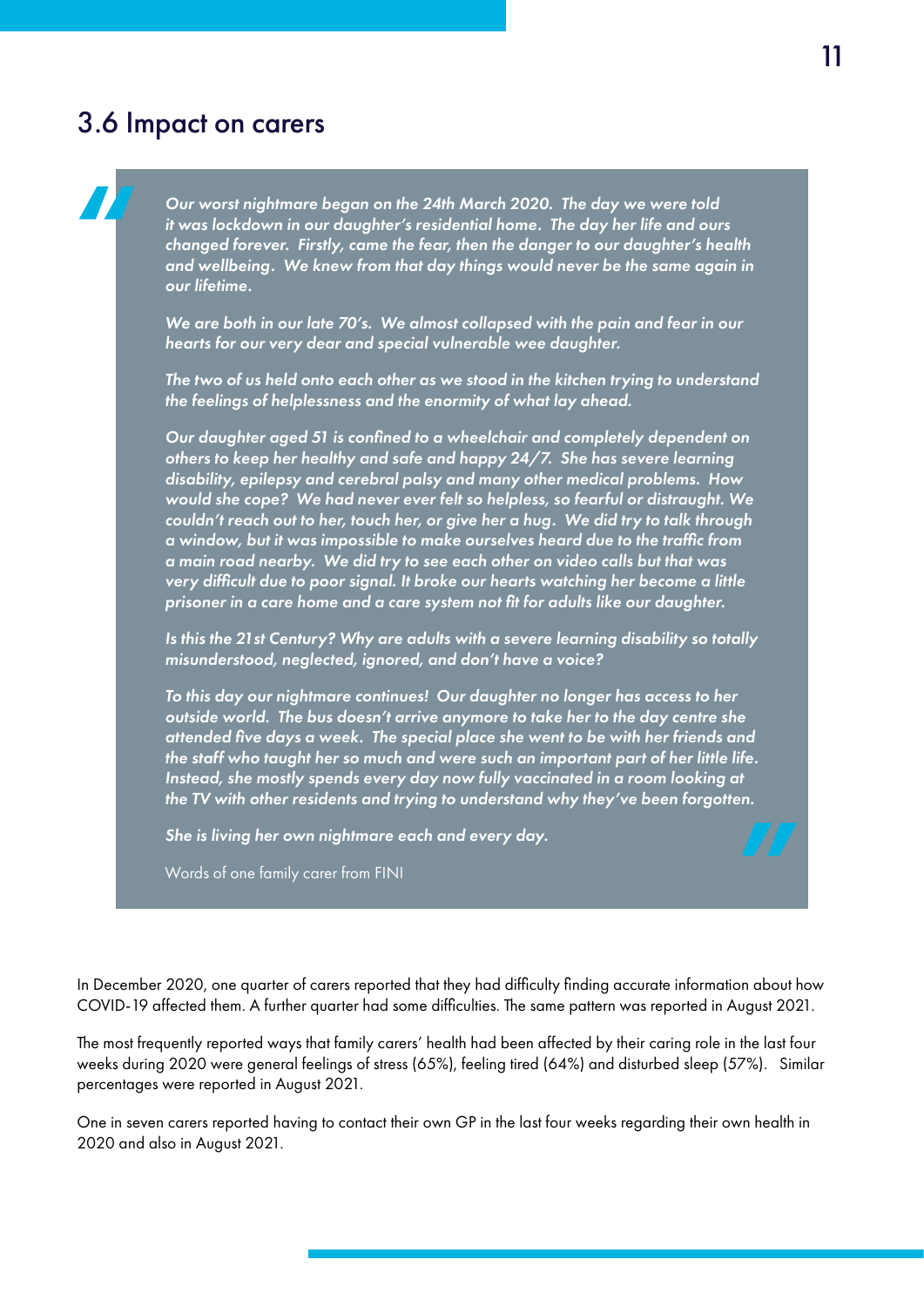### 3.6 Impact on carers

*Our worst nightmare began on the 24th March 2020. The day we were told it was lockdown in our daughter's residential home. The day her life and ours changed forever. Firstly, came the fear, then the danger to our daughter's health and wellbeing. We knew from that day things would never be the same again in our lifetime.* 

*We are both in our late 70's. We almost collapsed with the pain and fear in our hearts for our very dear and special vulnerable wee daughter.* 

*The two of us held onto each other as we stood in the kitchen trying to understand the feelings of helplessness and the enormity of what lay ahead.* 

*Our daughter aged 51 is confned to a wheelchair and completely dependent on others to keep her healthy and safe and happy 24/7. She has severe learning disability, epilepsy and cerebral palsy and many other medical problems. How would she cope? We had never ever felt so helpless, so fearful or distraught. We couldn't reach out to her, touch her, or give her a hug. We did try to talk through a window, but it was impossible to make ourselves heard due to the traffc from a main road nearby. We did try to see each other on video calls but that was very diffcult due to poor signal. It broke our hearts watching her become a little prisoner in a care home and a care system not ft for adults like our daughter.* 

*Is this the 21st Century? Why are adults with a severe learning disability so totally misunderstood, neglected, ignored, and don't have a voice?* 

*To this day our nightmare continues! Our daughter no longer has access to her outside world. The bus doesn't arrive anymore to take her to the day centre she attended fve days a week. The special place she went to be with her friends and the staff who taught her so much and were such an important part of her little life. Instead, she mostly spends every day now fully vaccinated in a room looking at the TV with other residents and trying to understand why they've been forgotten.* 

*She is living her own nightmare each and every day.* 

Words of one family carer from FINI

In December 2020, one quarter of carers reported that they had diffculty fnding accurate information about how COVID-19 affected them. A further quarter had some diffculties. The same pattern was reported in August 2021.

The most frequently reported ways that family carers' health had been affected by their caring role in the last four weeks during 2020 were general feelings of stress (65%), feeling tired (64%) and disturbed sleep (57%). Similar percentages were reported in August 2021.

One in seven carers reported having to contact their own GP in the last four weeks regarding their own health in 2020 and also in August 2021.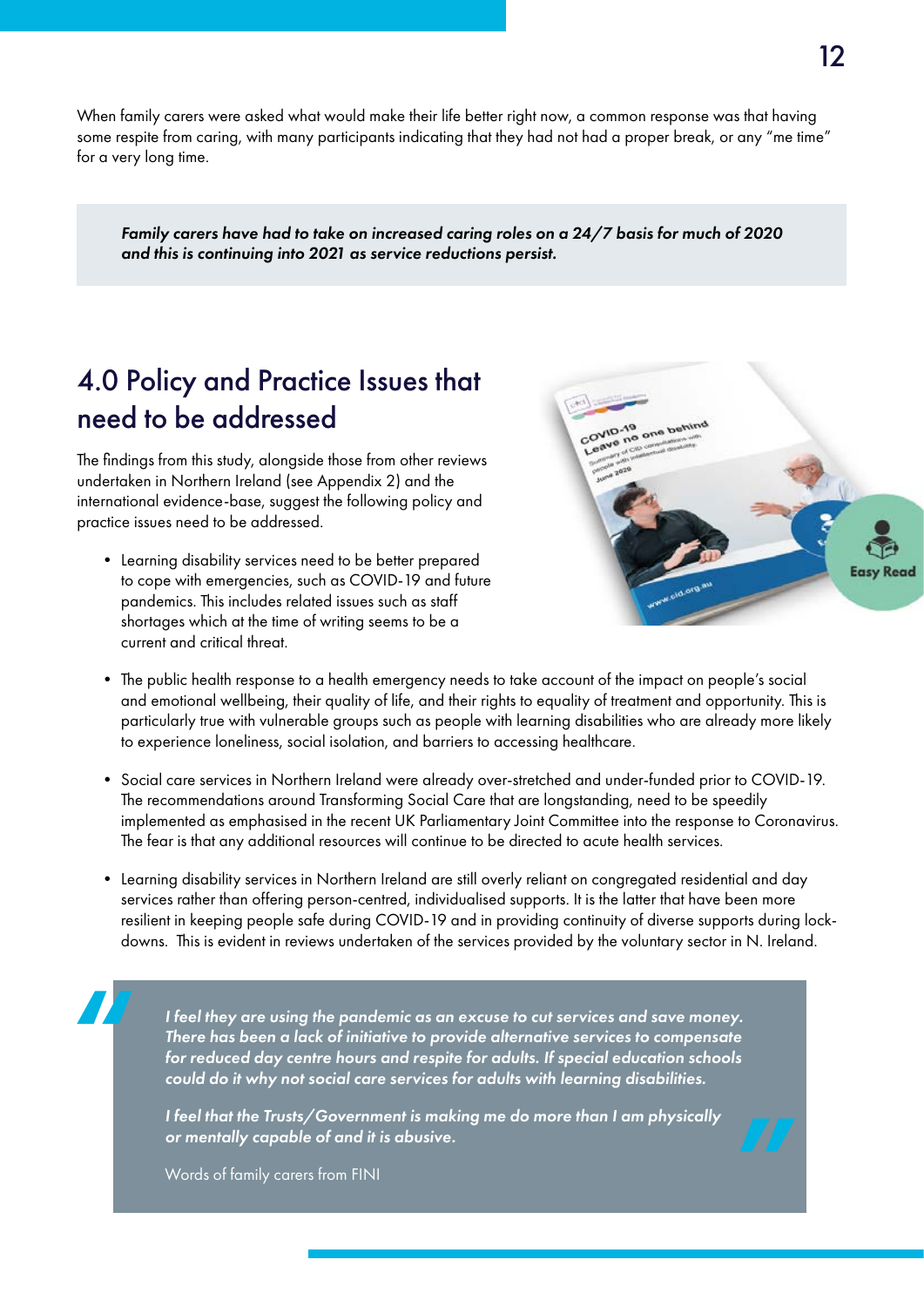When family carers were asked what would make their life better right now, a common response was that having some respite from caring, with many participants indicating that they had not had a proper break, or any "me time" for a very long time.

*Family carers have had to take on increased caring roles on a 24/7 basis for much of 2020 and this is continuing into 2021 as service reductions persist.* 

## 4.0 Policy and Practice Issues that need to be addressed

The fndings from this study, alongside those from other reviews undertaken in Northern Ireland (see Appendix 2) and the international evidence-base, suggest the following policy and practice issues need to be addressed.

• Learning disability services need to be better prepared to cope with emergencies, such as COVID-19 and future pandemics. This includes related issues such as staff shortages which at the time of writing seems to be a current and critical threat.



- The public health response to a health emergency needs to take account of the impact on people's social and emotional wellbeing, their quality of life, and their rights to equality of treatment and opportunity. This is particularly true with vulnerable groups such as people with learning disabilities who are already more likely to experience loneliness, social isolation, and barriers to accessing healthcare.
- Social care services in Northern Ireland were already over-stretched and under-funded prior to COVID-19. The recommendations around Transforming Social Care that are longstanding, need to be speedily implemented as emphasised in the recent UK Parliamentary Joint Committee into the response to Coronavirus. The fear is that any additional resources will continue to be directed to acute health services.
- Learning disability services in Northern Ireland are still overly reliant on congregated residential and day services rather than offering person-centred, individualised supports. It is the latter that have been more resilient in keeping people safe during COVID-19 and in providing continuity of diverse supports during lockdowns. This is evident in reviews undertaken of the services provided by the voluntary sector in N. Ireland.

*I feel they are using the pandemic as an excuse to cut services and save money. There has been a lack of initiative to provide alternative services to compensate for reduced day centre hours and respite for adults. If special education schools could do it why not social care services for adults with learning disabilities.* 

*I feel that the Trusts/Government is making me do more than I am physically or mentally capable of and it is abusive.* 

Words of family carers from FINI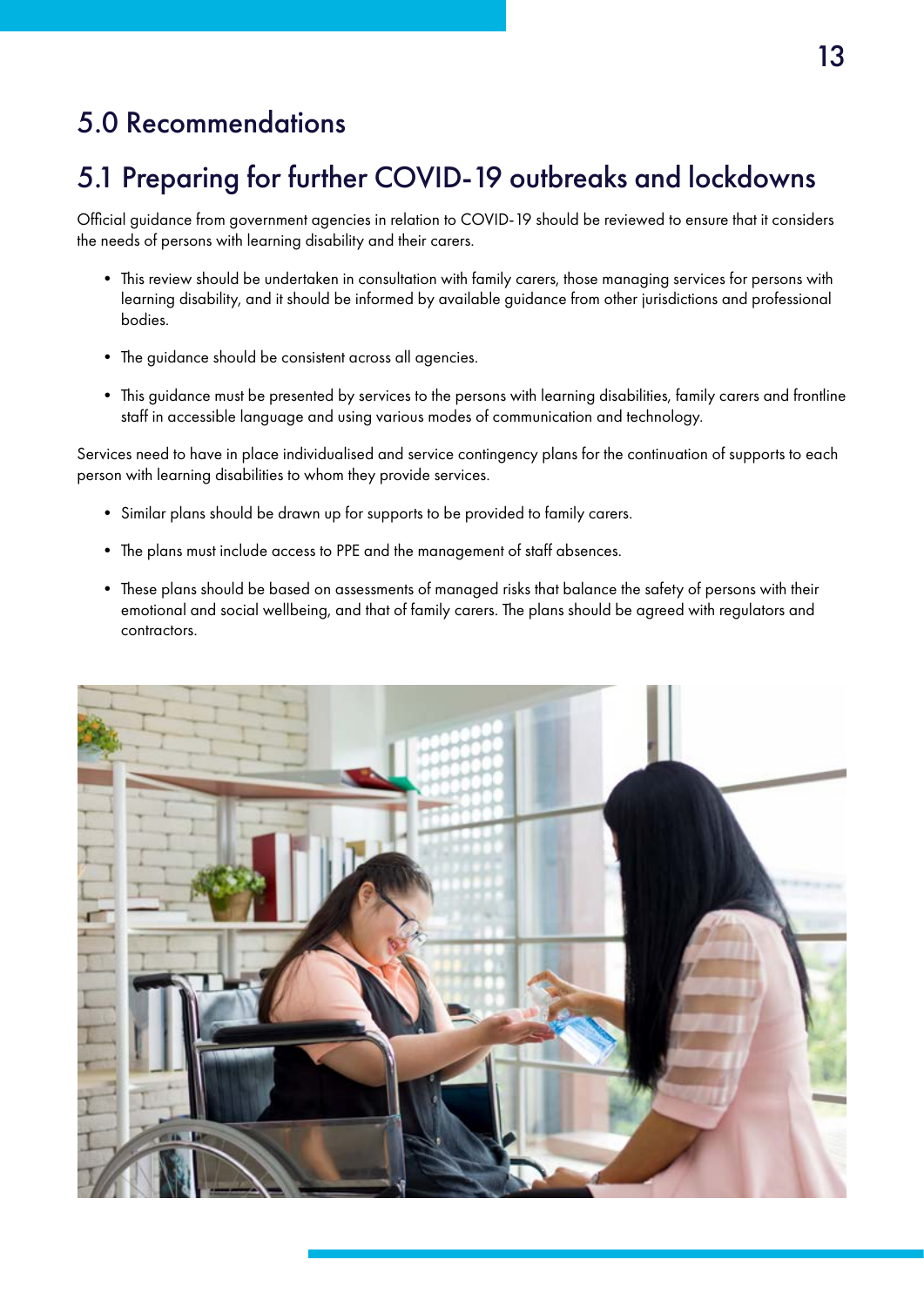## 5.0 Recommendations

# 5.1 Preparing for further COVID-19 outbreaks and lockdowns

Official guidance from government agencies in relation to COVID-19 should be reviewed to ensure that it considers the needs of persons with learning disability and their carers.

- This review should be undertaken in consultation with family carers, those managing services for persons with learning disability, and it should be informed by available guidance from other jurisdictions and professional bodies.
- The guidance should be consistent across all agencies.
- This guidance must be presented by services to the persons with learning disabilities, family carers and frontline staff in accessible language and using various modes of communication and technology.

Services need to have in place individualised and service contingency plans for the continuation of supports to each person with learning disabilities to whom they provide services.

- Similar plans should be drawn up for supports to be provided to family carers.
- The plans must include access to PPE and the management of staff absences.
- These plans should be based on assessments of managed risks that balance the safety of persons with their emotional and social wellbeing, and that of family carers. The plans should be agreed with regulators and contractors.

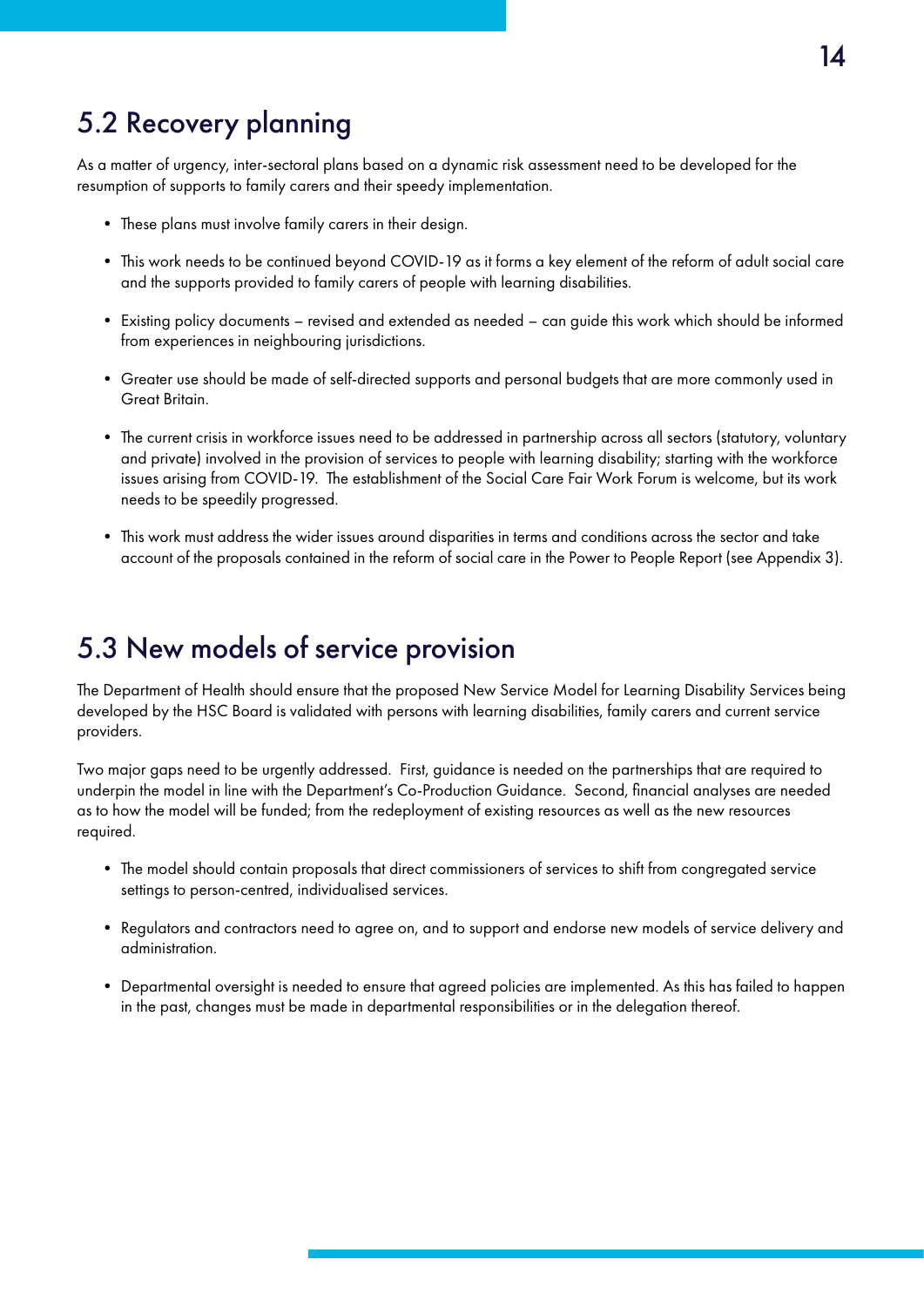## 5.2 Recovery planning

As a matter of urgency, inter-sectoral plans based on a dynamic risk assessment need to be developed for the resumption of supports to family carers and their speedy implementation.

- These plans must involve family carers in their design.
- This work needs to be continued beyond COVID-19 as it forms a key element of the reform of adult social care and the supports provided to family carers of people with learning disabilities.
- Existing policy documents revised and extended as needed can guide this work which should be informed from experiences in neighbouring jurisdictions.
- Greater use should be made of self-directed supports and personal budgets that are more commonly used in Great Britain.
- The current crisis in workforce issues need to be addressed in partnership across all sectors (statutory, voluntary and private) involved in the provision of services to people with learning disability; starting with the workforce issues arising from COVID-19. The establishment of the Social Care Fair Work Forum is welcome, but its work needs to be speedily progressed.
- account of the proposals contained in the reform of social care in the Power to People Report (see Appendix 3). • This work must address the wider issues around disparities in terms and conditions across the sector and take

### 5.3 New models of service provision

The Department of Health should ensure that the proposed New Service Model for Learning Disability Services being developed by the HSC Board is validated with persons with learning disabilities, family carers and current service providers.

Two major gaps need to be urgently addressed. First, guidance is needed on the partnerships that are required to underpin the model in line with the Department's Co-Production Guidance. Second, fnancial analyses are needed as to how the model will be funded; from the redeployment of existing resources as well as the new resources required.

- The model should contain proposals that direct commissioners of services to shift from congregated service settings to person-centred, individualised services.
- Regulators and contractors need to agree on, and to support and endorse new models of service delivery and administration.
- Departmental oversight is needed to ensure that agreed policies are implemented. As this has failed to happen in the past, changes must be made in departmental responsibilities or in the delegation thereof.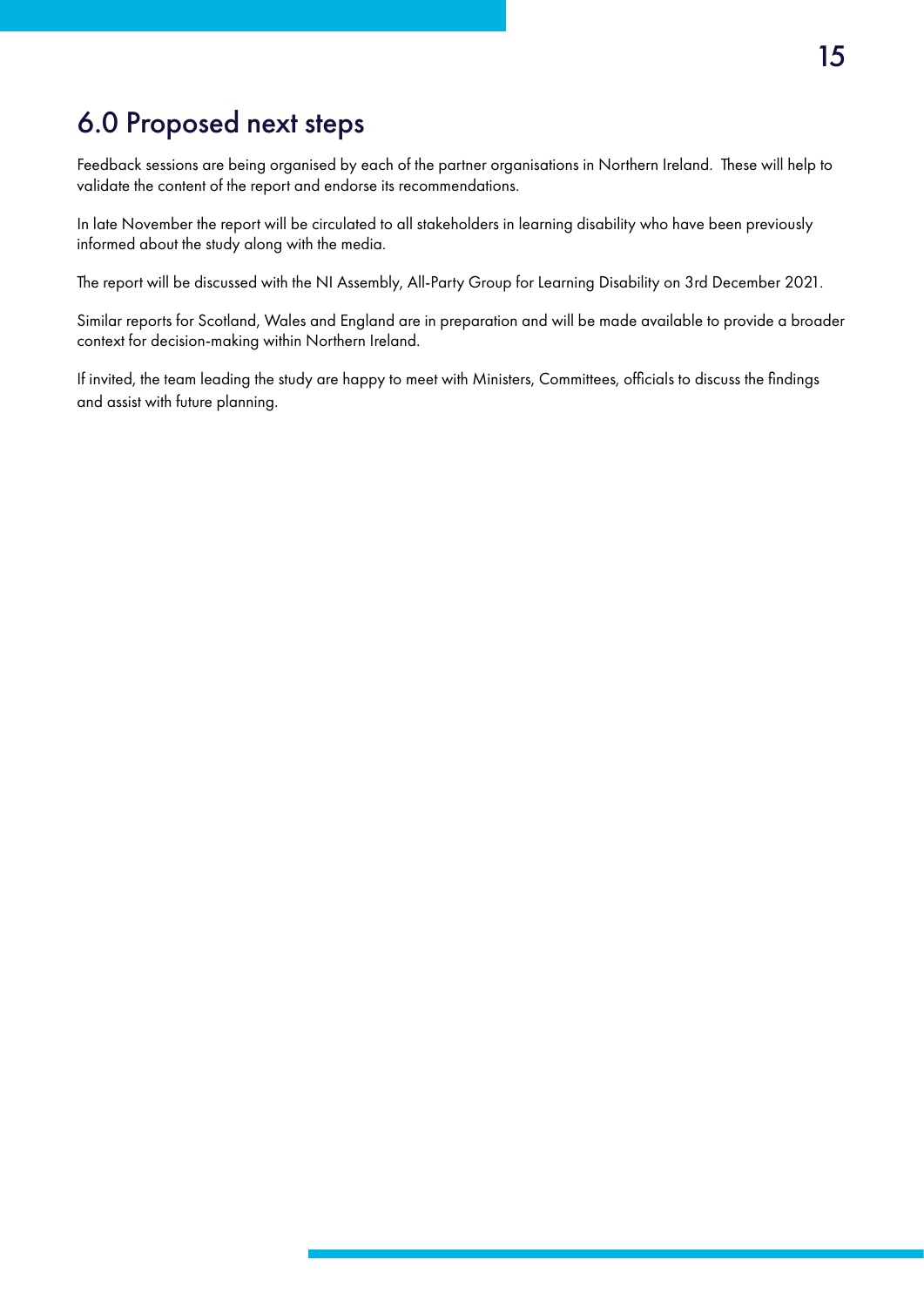## 6.0 Proposed next steps

Feedback sessions are being organised by each of the partner organisations in Northern Ireland. These will help to validate the content of the report and endorse its recommendations.

In late November the report will be circulated to all stakeholders in learning disability who have been previously informed about the study along with the media.

The report will be discussed with the NI Assembly, All-Party Group for Learning Disability on 3rd December 2021.

Similar reports for Scotland, Wales and England are in preparation and will be made available to provide a broader context for decision-making within Northern Ireland.

If invited, the team leading the study are happy to meet with Ministers, Committees, offcials to discuss the fndings and assist with future planning.